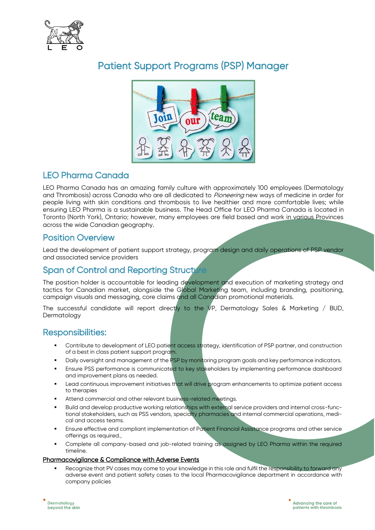

# Patient Support Programs (PSP) Manager



# LEO Pharma Canada

LEO Pharma Canada has an amazing family culture with approximately 100 employees (Dermatology and Thrombosis) across Canada who are all dedicated to *Pioneering* new ways of medicine in order for people living with skin conditions and thrombosis to live healthier and more comfortable lives; while ensuring LEO Pharma is a sustainable business. The Head Office for LEO Pharma Canada is located in Toronto (North York), Ontario; however, many employees are field based and work in various Provinces across the wide Canadian geography.

# Position Overview

Lead the development of patient support strategy, program design and daily operations of PSP vendor and associated service providers

# Span of Control and Reporting Structure

The position holder is accountable for leading development and execution of marketing strategy and tactics for Canadian market, alongside the Global Marketing team, including branding, positioning, campaign visuals and messaging, core claims and all Canadian promotional materials.

The successful candidate will report directly to the VP, Dermatology Sales & Marketing / BUD, Dermatology

### Responsibilities:

- Contribute to development of LEO patient access strategy, identification of PSP partner, and construction of a best in class patient support program.
- Daily oversight and management of the PSP by monitoring program goals and key performance indicators.
- Ensure PSS performance is communicated to key stakeholders by implementing performance dashboard and improvement plans as needed.
- Lead continuous improvement initiatives that will drive program enhancements to optimize patient access to therapies
- Attend commercial and other relevant business-related meetings.
- Build and develop productive working relationships with external service providers and internal cross-functional stakeholders, such as PSS vendors, specialty pharmacies and internal commercial operations, medical and access teams.
- Ensure effective and compliant implementation of Patient Financial Assistance programs and other service offerings as required.,
- Complete all company-based and job-related training as assigned by LEO Pharma within the required timeline.

#### Pharmacovigilance & Compliance with Adverse Events

Recognize that PV cases may come to your knowledge in this role and fulfil the responsibility to forward any adverse event and patient safety cases to the local Pharmacovigilance department in accordance with company policies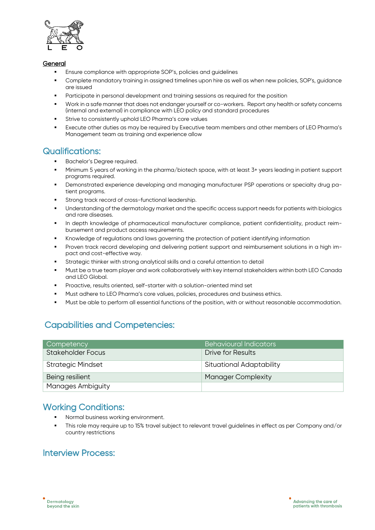

#### General

- Ensure compliance with appropriate SOP's, policies and guidelines
- Complete mandatory training in assigned timelines upon hire as well as when new policies, SOP's, guidance are issued
- Participate in personal development and training sessions as required for the position
- Work in a safe manner that does not endanger yourself or co-workers. Report any health or safety concerns (internal and external) in compliance with LEO policy and standard procedures
- Strive to consistently uphold LEO Pharma's core values
- Execute other duties as may be required by Executive team members and other members of LEO Pharma's Management team as training and experience allow

# Qualifications:

- Bachelor's Degree required.
- Minimum 5 years of working in the pharma/biotech space, with at least 3+ years leading in patient support programs required.
- **•** Demonstrated experience developing and managing manufacturer PSP operations or specialty drug patient programs.
- Strong track record of cross-functional leadership.
- Understanding of the dermatology market and the specific access support needs for patients with biologics and rare diseases.
- In depth knowledge of pharmaceutical manufacturer compliance, patient confidentiality, product reimbursement and product access requirements.
- Knowledge of regulations and laws governing the protection of patient identifying information
- Proven track record developing and delivering patient support and reimbursement solutions in a high impact and cost-effective way.
- Strategic thinker with strong analytical skills and a careful attention to detail
- Must be a true team player and work collaboratively with key internal stakeholders within both LEO Canada and LEO Global.
- Proactive, results oriented, self-starter with a solution-oriented mind set
- Must adhere to LEO Pharma's core values, policies, procedures and business ethics.
- Must be able to perform all essential functions of the position, with or without reasonable accommodation.

# Capabilities and Competencies:

| Competency               | <b>Behavioural Indicators</b>   |
|--------------------------|---------------------------------|
| <b>Stakeholder Focus</b> | Drive for Results               |
| <b>Strategic Mindset</b> | <b>Situational Adaptability</b> |
| Being resilient          | <b>Manager Complexity</b>       |
| <b>Manages Ambiguity</b> |                                 |

### Working Conditions:

- Normal business working environment.
- This role may require up to 15% travel subject to relevant travel quidelines in effect as per Company and/or country restrictions

# Interview Process: